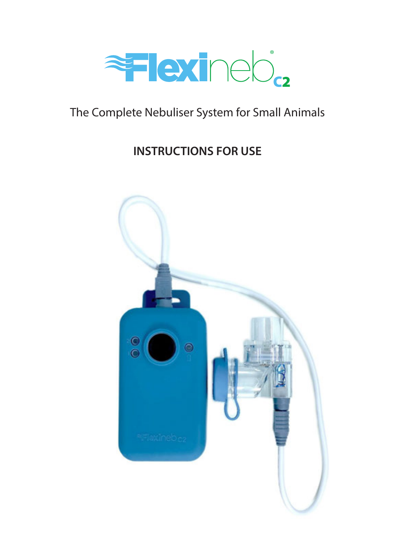

# The Complete Nebuliser System for Small Animals The Complete Nebuliser System for Small Animals

### INSTRUCTIONS FOR USE **INSTRUCTIONS FOR USE**

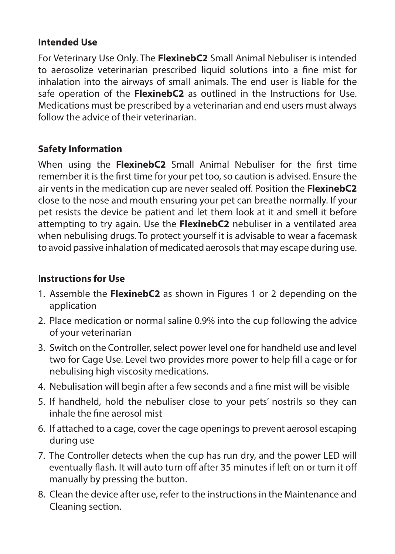# **Intended Use**

For Veterinary Use Only. The **FlexinebC2** Small Animal Nebuliser is intended to aerosolize veterinarian prescribed liquid solutions into a fine mist for inhalation into the airways of small animals. The end user is liable for the safe operation of the **FlexinebC2** as outlined in the Instructions for Use. Medications must be prescribed by a veterinarian and end users must always follow the advice of their veterinarian.

# **Safety Information**

When using the **FlexinebC2** Small Animal Nebuliser for the first time remember it is the first time for your pet too, so caution is advised. Ensure the air vents in the medication cup are never sealed off. Position the **FlexinebC2** close to the nose and mouth ensuring your pet can breathe normally. If your pet resists the device be patient and let them look at it and smell it before attempting to try again. Use the **FlexinebC2** nebuliser in a ventilated area when nebulising drugs. To protect yourself it is advisable to wear a facemask to avoid passive inhalation of medicated aerosols that may escape during use.

### **Instructions for Use**

- 1. Assemble the **FlexinebC2** as shown in Figures 1 or 2 depending on the application
- 2. Place medication or normal saline 0.9% into the cup following the advice of your veterinarian
- 3. Switch on the Controller, select power level one for handheld use and level two for Cage Use. Level two provides more power to help fill a cage or for nebulising high viscosity medications.
- 4. Nebulisation will begin after a few seconds and a fine mist will be visible
- 5. If handheld, hold the nebuliser close to your pets' nostrils so they can inhale the fine aerosol mist
- 6. If attached to a cage, cover the cage openings to prevent aerosol escaping during use
- 7. The Controller detects when the cup has run dry, and the power LED will eventually flash. It will auto turn off after 35 minutes if left on or turn it off manually by pressing the button.
- 8. Clean the device after use, refer to the instructions in the Maintenance and Cleaning section.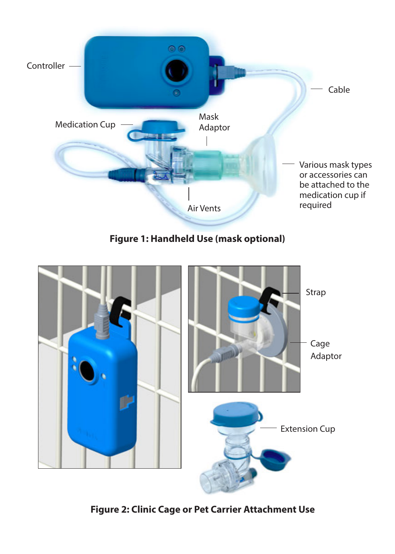

**Figure 1: Handheld Use (mask optional)**



**Figure 2: Clinic Cage or Pet Carrier Attachment Use**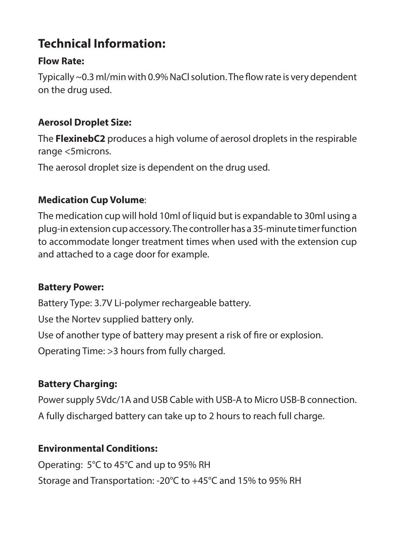# **Technical Information:**

# **Flow Rate:**

Typically ~0.3 ml/min with 0.9% NaCl solution. The flow rate is very dependent on the drug used.

# **Aerosol Droplet Size:**

The **FlexinebC2** produces a high volume of aerosol droplets in the respirable range <5microns.

The aerosol droplet size is dependent on the drug used.

# **Medication Cup Volume**:

The medication cup will hold 10ml of liquid but is expandable to 30ml using a plug-in extension cup accessory. The controller has a 35-minute timer function to accommodate longer treatment times when used with the extension cup and attached to a cage door for example.

# **Battery Power:**

Battery Type: 3.7V Li-polymer rechargeable battery.

Use the Nortev supplied battery only.

Use of another type of battery may present a risk of fire or explosion.

Operating Time: >3 hours from fully charged.

# **Battery Charging:**

Power supply 5Vdc/1A and USB Cable with USB-A to Micro USB-B connection. A fully discharged battery can take up to 2 hours to reach full charge.

# **Environmental Conditions:**

Operating: 5°C to 45°C and up to 95% RH Storage and Transportation: -20°C to +45°C and 15% to 95% RH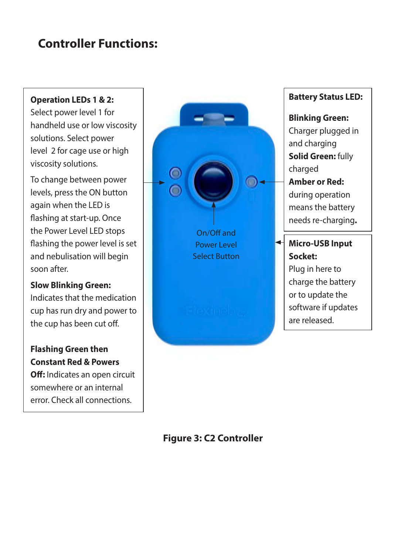# **Controller Functions:**

#### **Operation LEDs 1 & 2:**

Select power level 1 for handheld use or low viscosity solutions. Select power level 2 for cage use or high viscosity solutions.

To change between power levels, press the ON button again when the LED is flashing at start-up. Once the Power Level LED stops flashing the power level is set and nebulisation will begin soon after.

#### **Slow Blinking Green:**

Indicates that the medication cup has run dry and power to the cup has been cut off.

### **Flashing Green then Constant Red & Powers**

**Off:** Indicates an open circuit somewhere or an internal error. Check all connections.



### **Battery Status LED:**

**Blinking Green:**  Charger plugged in and charging **Solid Green: fully** charged **Amber or Red:**  during operation means the battery needs re-charging**.**

**Micro-USB Input Socket:**  Plug in here to charge the battery or to update the software if updates are released.

### **Figure 3: C2 Controller**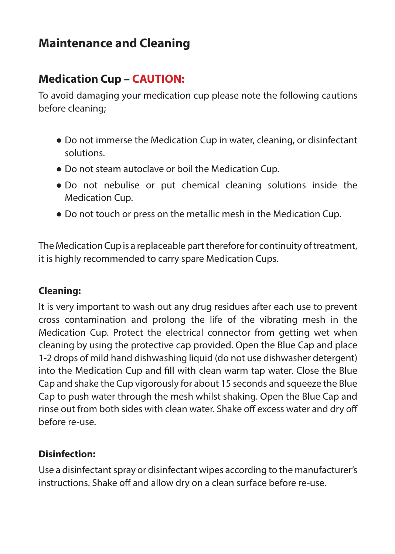# **Maintenance and Cleaning**

# **Medication Cup – CAUTION:**

To avoid damaging your medication cup please note the following cautions before cleaning;

- Do not immerse the Medication Cup in water, cleaning, or disinfectant solutions.
- Do not steam autoclave or boil the Medication Cup.
- Do not nebulise or put chemical cleaning solutions inside the Medication Cup.
- Do not touch or press on the metallic mesh in the Medication Cup.

The Medication Cup is a replaceable part therefore for continuity of treatment, it is highly recommended to carry spare Medication Cups.

### **Cleaning:**

It is very important to wash out any drug residues after each use to prevent cross contamination and prolong the life of the vibrating mesh in the Medication Cup. Protect the electrical connector from getting wet when cleaning by using the protective cap provided. Open the Blue Cap and place 1-2 drops of mild hand dishwashing liquid (do not use dishwasher detergent) into the Medication Cup and fill with clean warm tap water. Close the Blue Cap and shake the Cup vigorously for about 15 seconds and squeeze the Blue Cap to push water through the mesh whilst shaking. Open the Blue Cap and rinse out from both sides with clean water. Shake off excess water and dry off before re-use.

### **Disinfection:**

Use a disinfectant spray or disinfectant wipes according to the manufacturer's instructions. Shake off and allow dry on a clean surface before re-use.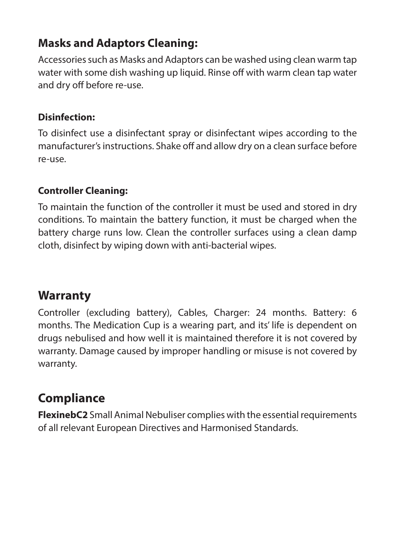# **Masks and Adaptors Cleaning:**

Accessories such as Masks and Adaptors can be washed using clean warm tap water with some dish washing up liquid. Rinse off with warm clean tap water and dry off before re-use.

# **Disinfection:**

To disinfect use a disinfectant spray or disinfectant wipes according to the manufacturer's instructions. Shake off and allow dry on a clean surface before re-use.

# **Controller Cleaning:**

To maintain the function of the controller it must be used and stored in dry conditions. To maintain the battery function, it must be charged when the battery charge runs low. Clean the controller surfaces using a clean damp cloth, disinfect by wiping down with anti-bacterial wipes.

# **Warranty**

Controller (excluding battery), Cables, Charger: 24 months. Battery: 6 months. The Medication Cup is a wearing part, and its' life is dependent on drugs nebulised and how well it is maintained therefore it is not covered by warranty. Damage caused by improper handling or misuse is not covered by warranty.

# **Compliance**

**FlexinebC2** Small Animal Nebuliser complies with the essential requirements of all relevant European Directives and Harmonised Standards.